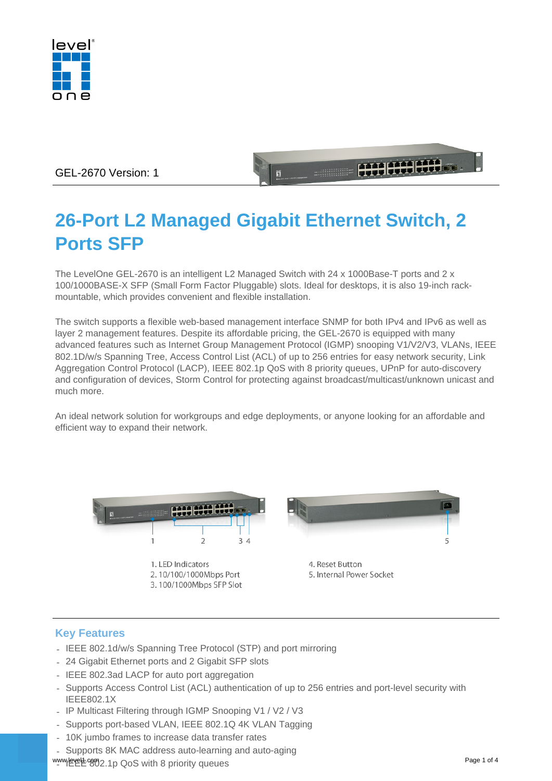

# GEL-2670 Version: 1

# **26-Port L2 Managed Gigabit Ethernet Switch, 2 Ports SFP**

**1999 1999 1999** 

The LevelOne GEL-2670 is an intelligent L2 Managed Switch with 24 x 1000Base-T ports and 2 x 100/1000BASE-X SFP (Small Form Factor Pluggable) slots. Ideal for desktops, it is also 19-inch rackmountable, which provides convenient and flexible installation.

The switch supports a flexible web-based management interface SNMP for both IPv4 and IPv6 as well as layer 2 management features. Despite its affordable pricing, the GEL-2670 is equipped with many advanced features such as Internet Group Management Protocol (IGMP) snooping V1/V2/V3, VLANs, IEEE 802.1D/w/s Spanning Tree, Access Control List (ACL) of up to 256 entries for easy network security, Link Aggregation Control Protocol (LACP), IEEE 802.1p QoS with 8 priority queues, UPnP for auto-discovery and configuration of devices, Storm Control for protecting against broadcast/multicast/unknown unicast and much more.

An ideal network solution for workgroups and edge deployments, or anyone looking for an affordable and efficient way to expand their network.



## **Key Features**

- IEEE 802.1d/w/s Spanning Tree Protocol (STP) and port mirroring
- 24 Gigabit Ethernet ports and 2 Gigabit SFP slots
- IEEE 802.3ad LACP for auto port aggregation
- Supports Access Control List (ACL) authentication of up to 256 entries and port-level security with IEEE802.1X
- IP Multicast Filtering through IGMP Snooping V1 / V2 / V3
- Supports port-based VLAN, IEEE 802.1Q 4K VLAN Tagging
- 10K jumbo frames to increase data transfer rates
- Supports 8K MAC address auto-learning and auto-aging

www.levelt.com Page 1 of 4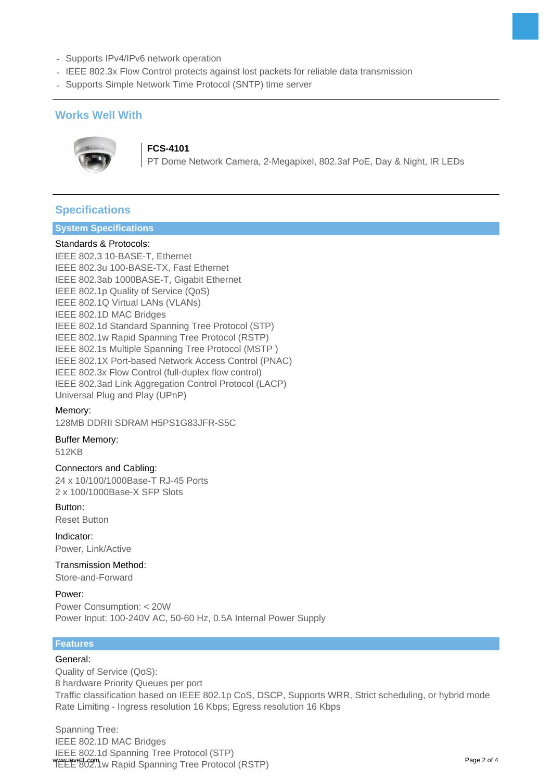- Supports IPv4/IPv6 network operation
- IEEE 802.3x Flow Control protects against lost packets for reliable data transmission
- Supports Simple Network Time Protocol (SNTP) time server

## **Works Well With**



**FCS-4101**

PT Dome Network Camera, 2-Megapixel, 802.3af PoE, Day & Night, IR LEDs

# **Specifications**

#### **System Specifications**

#### Standards & Protocols:

IEEE 802.3 10-BASE-T, Ethernet IEEE 802.3u 100-BASE-TX, Fast Ethernet IEEE 802.3ab 1000BASE-T, Gigabit Ethernet IEEE 802.1p Quality of Service (QoS) IEEE 802.1Q Virtual LANs (VLANs) IEEE 802.1D MAC Bridges IEEE 802.1d Standard Spanning Tree Protocol (STP) IEEE 802.1w Rapid Spanning Tree Protocol (RSTP) IEEE 802.1s Multiple Spanning Tree Protocol (MSTP ) IEEE 802.1X Port-based Network Access Control (PNAC) IEEE 802.3x Flow Control (full-duplex flow control) IEEE 802.3ad Link Aggregation Control Protocol (LACP) Universal Plug and Play (UPnP)

#### Memory:

128MB DDRII SDRAM H5PS1G83JFR-S5C

#### Buffer Memory: 512KB

Connectors and Cabling:

24 x 10/100/1000Base-T RJ-45 Ports 2 x 100/1000Base-X SFP Slots

#### Button:

Reset Button

Indicator: Power, Link/Active

Transmission Method: Store-and-Forward

Power: Power Consumption: < 20W Power Input: 100-240V AC, 50-60 Hz, 0.5A Internal Power Supply

## **Features**

#### General:

Quality of Service (QoS): 8 hardware Priority Queues per port Traffic classification based on IEEE 802.1p CoS, DSCP, Supports WRR, Strict scheduling, or hybrid mode Rate Limiting - Ingress resolution 16 Kbps; Egress resolution 16 Kbps

Spanning Tree: IEEE 802.1D MAC Bridges IEEE 802.1d Spanning Tree Protocol (STP) IEEE 802.1w Rapid Spanning Tree Protocol (RSTP)<br>IEEE 802.1w Rapid Spanning Tree Protocol (RSTP)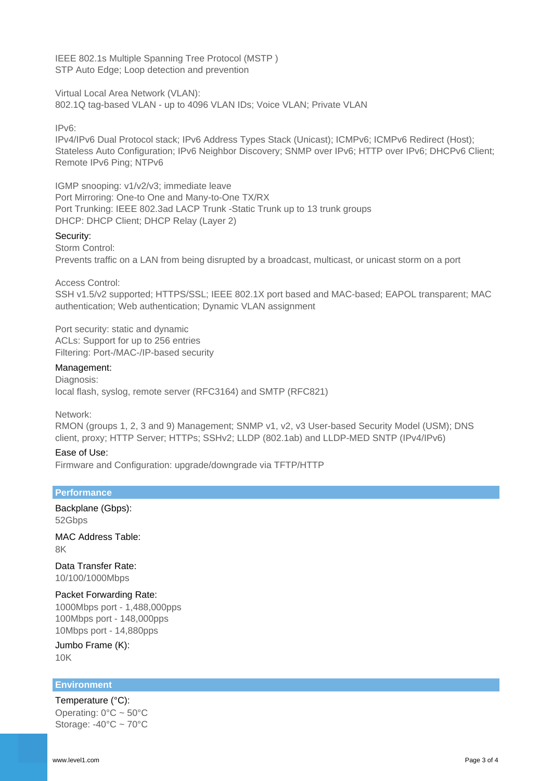IEEE 802.1s Multiple Spanning Tree Protocol (MSTP ) STP Auto Edge; Loop detection and prevention

Virtual Local Area Network (VLAN):

802.1Q tag-based VLAN - up to 4096 VLAN IDs; Voice VLAN; Private VLAN

#### IPv6:

IPv4/IPv6 Dual Protocol stack; IPv6 Address Types Stack (Unicast); ICMPv6; ICMPv6 Redirect (Host); Stateless Auto Configuration; IPv6 Neighbor Discovery; SNMP over IPv6; HTTP over IPv6; DHCPv6 Client; Remote IPv6 Ping; NTPv6

IGMP snooping: v1/v2/v3; immediate leave Port Mirroring: One-to One and Many-to-One TX/RX Port Trunking: IEEE 802.3ad LACP Trunk -Static Trunk up to 13 trunk groups DHCP: DHCP Client; DHCP Relay (Layer 2)

#### Security:

Storm Control: Prevents traffic on a LAN from being disrupted by a broadcast, multicast, or unicast storm on a port

Access Control:

SSH v1.5/v2 supported; HTTPS/SSL; IEEE 802.1X port based and MAC-based; EAPOL transparent; MAC authentication; Web authentication; Dynamic VLAN assignment

Port security: static and dynamic ACLs: Support for up to 256 entries Filtering: Port-/MAC-/IP-based security

#### Management:

Diagnosis: local flash, syslog, remote server (RFC3164) and SMTP (RFC821)

Network:

RMON (groups 1, 2, 3 and 9) Management; SNMP v1, v2, v3 User-based Security Model (USM); DNS client, proxy; HTTP Server; HTTPs; SSHv2; LLDP (802.1ab) and LLDP-MED SNTP (IPv4/IPv6)

#### Ease of Use:

Firmware and Configuration: upgrade/downgrade via TFTP/HTTP

#### **Performance**

Backplane (Gbps): 52Gbps

MAC Address Table: 8K

Data Transfer Rate: 10/100/1000Mbps

#### Packet Forwarding Rate:

1000Mbps port - 1,488,000pps 100Mbps port - 148,000pps 10Mbps port - 14,880pps

Jumbo Frame (K): 10K

#### **Environment**

Temperature (°C): Operating:  $0^{\circ}$ C ~ 50 $^{\circ}$ C Storage:  $-40^{\circ}$ C ~  $70^{\circ}$ C